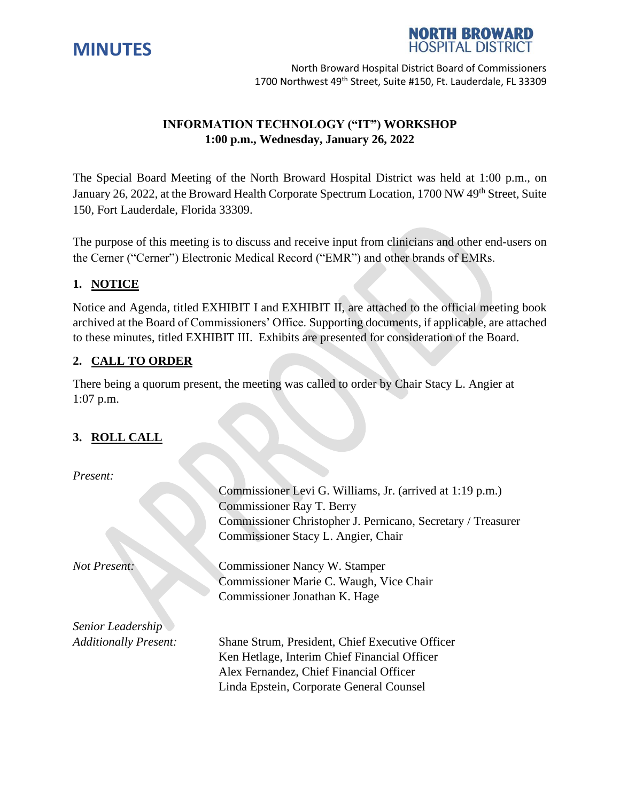



# **INFORMATION TECHNOLOGY ("IT") WORKSHOP 1:00 p.m., Wednesday, January 26, 2022**

The Special Board Meeting of the North Broward Hospital District was held at 1:00 p.m., on January 26, 2022, at the Broward Health Corporate Spectrum Location, 1700 NW 49<sup>th</sup> Street. Suite 150, Fort Lauderdale, Florida 33309.

The purpose of this meeting is to discuss and receive input from clinicians and other end-users on the Cerner ("Cerner") Electronic Medical Record ("EMR") and other brands of EMRs.

## **1. NOTICE**

Notice and Agenda, titled EXHIBIT I and EXHIBIT II, are attached to the official meeting book archived at the Board of Commissioners' Office. Supporting documents, if applicable, are attached to these minutes, titled EXHIBIT III. Exhibits are presented for consideration of the Board.

## **2. CALL TO ORDER**

There being a quorum present, the meeting was called to order by Chair Stacy L. Angier at 1:07 p.m.

### **3. ROLL CALL**

*Present:*

|                              | Commissioner Levi G. Williams, Jr. (arrived at 1:19 p.m.)    |
|------------------------------|--------------------------------------------------------------|
|                              | Commissioner Ray T. Berry                                    |
|                              | Commissioner Christopher J. Pernicano, Secretary / Treasurer |
|                              | Commissioner Stacy L. Angier, Chair                          |
| <b>Not Present:</b>          | Commissioner Nancy W. Stamper                                |
|                              | Commissioner Marie C. Waugh, Vice Chair                      |
|                              | Commissioner Jonathan K. Hage                                |
| Senior Leadership            |                                                              |
| <b>Additionally Present:</b> | Shane Strum, President, Chief Executive Officer              |
|                              | Ken Hetlage, Interim Chief Financial Officer                 |
|                              | Alex Fernandez, Chief Financial Officer                      |
|                              | Linda Epstein, Corporate General Counsel                     |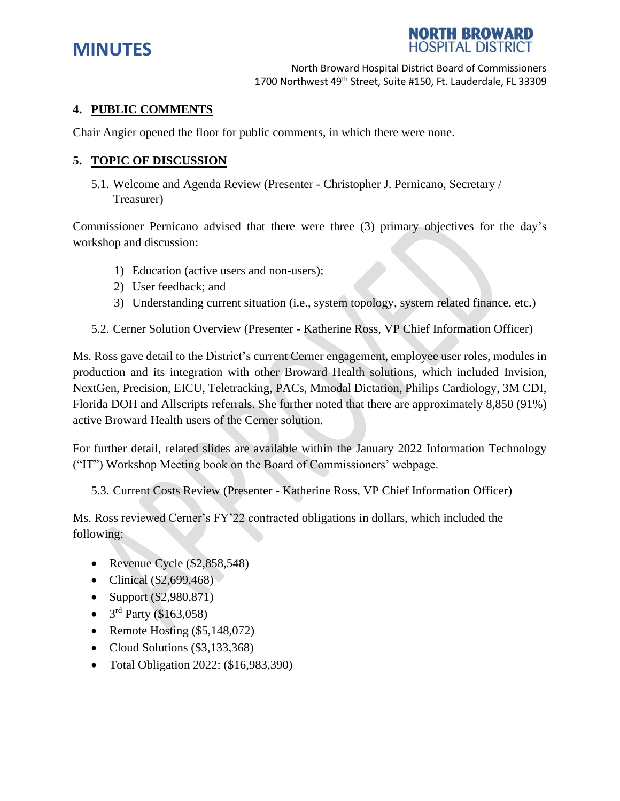



### **4. PUBLIC COMMENTS**

Chair Angier opened the floor for public comments, in which there were none.

### **5. TOPIC OF DISCUSSION**

5.1. Welcome and Agenda Review (Presenter - Christopher J. Pernicano, Secretary / Treasurer)

Commissioner Pernicano advised that there were three (3) primary objectives for the day's workshop and discussion:

- 1) Education (active users and non-users);
- 2) User feedback; and
- 3) Understanding current situation (i.e., system topology, system related finance, etc.)
- 5.2. Cerner Solution Overview (Presenter Katherine Ross, VP Chief Information Officer)

Ms. Ross gave detail to the District's current Cerner engagement, employee user roles, modules in production and its integration with other Broward Health solutions, which included Invision, NextGen, Precision, EICU, Teletracking, PACs, Mmodal Dictation, Philips Cardiology, 3M CDI, Florida DOH and Allscripts referrals. She further noted that there are approximately 8,850 (91%) active Broward Health users of the Cerner solution.

For further detail, related slides are available within the January 2022 Information Technology ("IT") Workshop Meeting book on the Board of Commissioners' webpage.

5.3. Current Costs Review (Presenter - Katherine Ross, VP Chief Information Officer)

Ms. Ross reviewed Cerner's FY'22 contracted obligations in dollars, which included the following:

- Revenue Cycle (\$2,858,548)
- Clinical  $(\$2,699,468)$
- Support (\$2,980,871)
- $3<sup>rd</sup>$  Party (\$163,058)
- Remote Hosting  $(\$5,148,072)$
- Cloud Solutions (\$3,133,368)
- Total Obligation 2022: (\$16,983,390)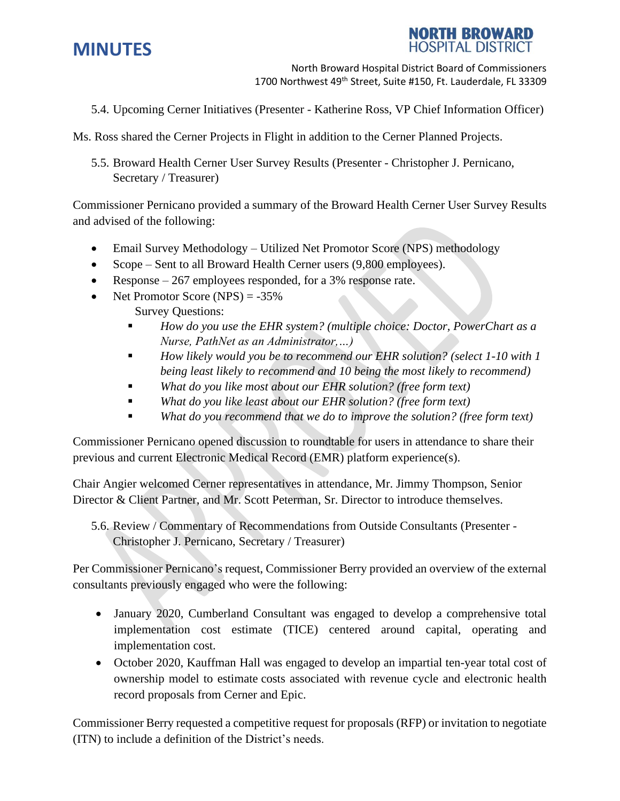

**TH BROWA HOSPITAL DISTRICT** 

5.4. Upcoming Cerner Initiatives (Presenter - Katherine Ross, VP Chief Information Officer)

Ms. Ross shared the Cerner Projects in Flight in addition to the Cerner Planned Projects.

5.5. Broward Health Cerner User Survey Results (Presenter - Christopher J. Pernicano, Secretary / Treasurer)

Commissioner Pernicano provided a summary of the Broward Health Cerner User Survey Results and advised of the following:

- Email Survey Methodology Utilized Net Promotor Score (NPS) methodology
- Scope Sent to all Broward Health Cerner users (9,800 employees).
- Response 267 employees responded, for a 3% response rate.
- Net Promotor Score (NPS)  $= -35\%$ 
	- Survey Questions:
		- *How do you use the EHR system?* (*multiple choice: Doctor, PowerChart as a Nurse, PathNet as an Administrator,…)*
		- *How likely would you be to recommend our EHR solution? (select 1-10 with 1 being least likely to recommend and 10 being the most likely to recommend)*
		- *What do you like most about our EHR solution? (free form text)*
		- *What do you like least about our EHR solution? (free form text)*
		- What do you recommend that we do to improve the solution? (free form text)

Commissioner Pernicano opened discussion to roundtable for users in attendance to share their previous and current Electronic Medical Record (EMR) platform experience(s).

Chair Angier welcomed Cerner representatives in attendance, Mr. Jimmy Thompson, Senior Director & Client Partner, and Mr. Scott Peterman, Sr. Director to introduce themselves.

5.6. Review / Commentary of Recommendations from Outside Consultants (Presenter - Christopher J. Pernicano, Secretary / Treasurer)

Per Commissioner Pernicano's request, Commissioner Berry provided an overview of the external consultants previously engaged who were the following:

- January 2020, Cumberland Consultant was engaged to develop a comprehensive total implementation cost estimate (TICE) centered around capital, operating and implementation cost.
- October 2020, Kauffman Hall was engaged to develop an impartial ten-year total cost of ownership model to estimate costs associated with revenue cycle and electronic health record proposals from Cerner and Epic.

Commissioner Berry requested a competitive request for proposals (RFP) or invitation to negotiate (ITN) to include a definition of the District's needs.